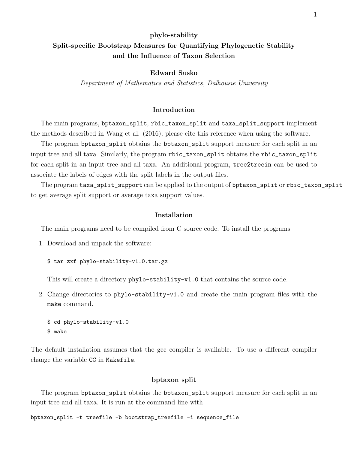# phylo-stability Split-specific Bootstrap Measures for Quantifying Phylogenetic Stability and the Influence of Taxon Selection

## Edward Susko

Department of Mathematics and Statistics, Dalhousie University

## Introduction

The main programs, bptaxon\_split, rbic\_taxon\_split and taxa\_split\_support implement the methods described in Wang et al. (2016); please cite this reference when using the software.

The program bptaxon\_split obtains the bptaxon\_split support measure for each split in an input tree and all taxa. Similarly, the program rbic\_taxon\_split obtains the rbic\_taxon\_split for each split in an input tree and all taxa. An additional program, tree2treein can be used to associate the labels of edges with the split labels in the output files.

The program taxa\_split\_support can be applied to the output of bptaxon\_split or rbic\_taxon\_split to get average split support or average taxa support values.

# Installation

The main programs need to be compiled from C source code. To install the programs

- 1. Download and unpack the software:
	- \$ tar zxf phylo-stability-v1.0.tar.gz

This will create a directory phylo-stability-v1.0 that contains the source code.

2. Change directories to phylo-stability-v1.0 and create the main program files with the make command.

```
$ cd phylo-stability-v1.0
$ make
```
The default installation assumes that the gcc compiler is available. To use a different compiler change the variable CC in Makefile.

## bptaxon split

The program bptaxon\_split obtains the bptaxon\_split support measure for each split in an input tree and all taxa. It is run at the command line with

```
bptaxon_split -t treefile -b bootstrap_treefile -i sequence_file
```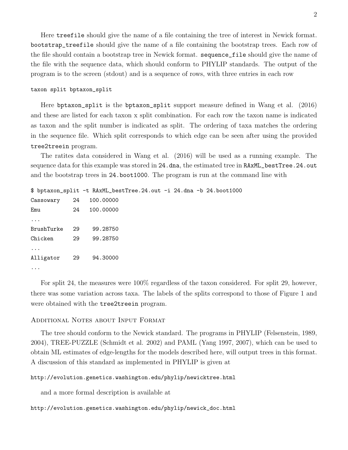Here treefile should give the name of a file containing the tree of interest in Newick format. bootstrap\_treefile should give the name of a file containing the bootstrap trees. Each row of the file should contain a bootstrap tree in Newick format. sequence\_file should give the name of the file with the sequence data, which should conform to PHYLIP standards. The output of the program is to the screen (stdout) and is a sequence of rows, with three entries in each row

#### taxon split bptaxon\_split

Here bptaxon\_split is the bptaxon\_split support measure defined in Wang et al. (2016) and these are listed for each taxon x split combination. For each row the taxon name is indicated as taxon and the split number is indicated as split. The ordering of taxa matches the ordering in the sequence file. Which split corresponds to which edge can be seen after using the provided tree2treein program.

The ratites data considered in Wang et al. (2016) will be used as a running example. The sequence data for this example was stored in 24.dna, the estimated tree in RAxML\_bestTree.24.out and the bootstrap trees in 24.boot1000. The program is run at the command line with

```
$ bptaxon_split -t RAxML_bestTree.24.out -i 24.dna -b 24.boot1000
Cassowary 24 100.00000
Emu 24 100.00000
...
BrushTurke 29 99.28750
Chicken 29 99.28750
...
Alligator 29 94.30000
...
```
For split 24, the measures were  $100\%$  regardless of the taxon considered. For split 29, however, there was some variation across taxa. The labels of the splits correspond to those of Figure 1 and were obtained with the tree2treein program.

# Additional Notes about Input Format

The tree should conform to the Newick standard. The programs in PHYLIP (Felsenstein, 1989, 2004), TREE-PUZZLE (Schmidt et al. 2002) and PAML (Yang 1997, 2007), which can be used to obtain ML estimates of edge-lengths for the models described here, will output trees in this format. A discussion of this standard as implemented in PHYLIP is given at

# http://evolution.genetics.washington.edu/phylip/newicktree.html

and a more formal description is available at

## http://evolution.genetics.washington.edu/phylip/newick\_doc.html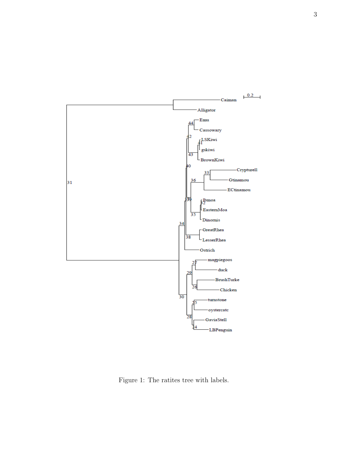

Figure 1: The ratites tree with labels.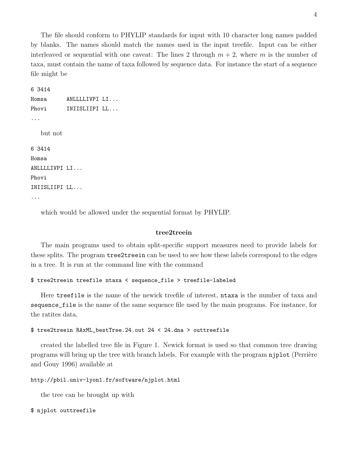The file should conform to PHYLIP standards for input with 10 character long names padded by blanks. The names should match the names used in the input treefile. Input can be either interleaved or sequential with one caveat: The lines 2 through  $m + 2$ , where m is the number of taxa, must contain the name of taxa followed by sequence data. For instance the start of a sequence file might be

```
6 3414
Homsa ANLLLLIVPI LI...
Phovi INIISLIIPI LL...
...
   but not
6 3414
Homsa
ANLLLLIVPI LI...
Phovi
INIISLIIPI LL...
...
```
which would be allowed under the sequential format by PHYLIP.

# tree2treein

The main programs used to obtain split-specific support measures need to provide labels for these splits. The program tree2treein can be used to see how these labels correspond to the edges in a tree. It is run at the command line with the command

```
$ tree2treein treefile ntaxa < sequence_file > treefile-labeled
```
Here treefile is the name of the newick treefile of interest, ntaxa is the number of taxa and sequence\_file is the name of the same sequence file used by the main programs. For instance, for the ratites data,

## \$ tree2treein RAxML\_bestTree.24.out 24 < 24.dna > outtreefile

created the labelled tree file in Figure 1. Newick format is used so that common tree drawing programs will bring up the tree with branch labels. For example with the program njplot (Perrière and Gouy 1996) available at

```
http://pbil.univ-lyon1.fr/software/njplot.html
```
the tree can be brought up with

```
$ njplot outtreefile
```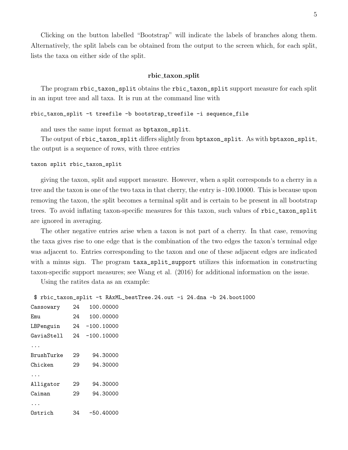Clicking on the button labelled "Bootstrap" will indicate the labels of branches along them. Alternatively, the split labels can be obtained from the output to the screen which, for each split, lists the taxa on either side of the split.

## rbic taxon split

The program rbic\_taxon\_split obtains the rbic\_taxon\_split support measure for each split in an input tree and all taxa. It is run at the command line with

## rbic\_taxon\_split -t treefile -b bootstrap\_treefile -i sequence\_file

and uses the same input format as bptaxon\_split.

The output of rbic\_taxon\_split differs slightly from bptaxon\_split. As with bptaxon\_split, the output is a sequence of rows, with three entries

## taxon split rbic\_taxon\_split

giving the taxon, split and support measure. However, when a split corresponds to a cherry in a tree and the taxon is one of the two taxa in that cherry, the entry is -100.10000. This is because upon removing the taxon, the split becomes a terminal split and is certain to be present in all bootstrap trees. To avoid inflating taxon-specific measures for this taxon, such values of rbic\_taxon\_split are ignored in averaging.

The other negative entries arise when a taxon is not part of a cherry. In that case, removing the taxa gives rise to one edge that is the combination of the two edges the taxon's terminal edge was adjacent to. Entries corresponding to the taxon and one of these adjacent edges are indicated with a minus sign. The program  $taxa$ -split\_support utilizes this information in constructing taxon-specific support measures; see Wang et al. (2016) for additional information on the issue.

Using the ratites data as an example:

```
$ rbic_taxon_split -t RAxML_bestTree.24.out -i 24.dna -b 24.boot1000
```

| Cassowary  |    | 24 100.00000  |  |
|------------|----|---------------|--|
| Emu        | 24 | 100,00000     |  |
| LBPenguin  |    | 24 -100.10000 |  |
| GaviaStell |    | 24 -100.10000 |  |
|            |    |               |  |
| BrushTurke | 29 | 94.30000      |  |
| Chicken    | 29 | 94.30000      |  |
|            |    |               |  |
| Alligator  | 29 | 94.30000      |  |
| Caiman     | 29 | 94.30000      |  |
| $\cdots$   |    |               |  |
| Ostrich    | 34 | $-50.40000$   |  |
|            |    |               |  |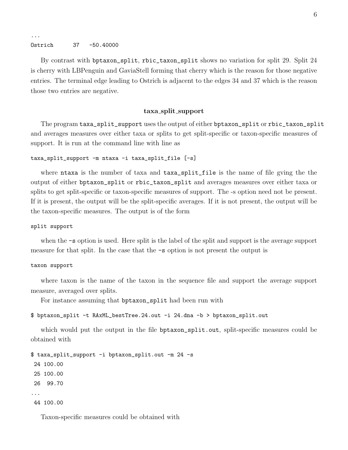#### Ostrich 37 -50.40000

...

By contrast with bptaxon\_split, rbic\_taxon\_split shows no variation for split 29. Split 24 is cherry with LBPenguin and GaviaStell forming that cherry which is the reason for those negative entries. The terminal edge leading to Ostrich is adjacent to the edges 34 and 37 which is the reason those two entries are negative.

## taxa split support

The program taxa\_split\_support uses the output of either bptaxon\_split or rbic\_taxon\_split and averages measures over either taxa or splits to get split-specific or taxon-specific measures of support. It is run at the command line with line as

```
taxa_split_support -m ntaxa -i taxa_split_file [-s]
```
where ntaxa is the number of taxa and taxa\_split\_file is the name of file gving the the output of either bptaxon\_split or rbic\_taxon\_split and averages measures over either taxa or splits to get split-specific or taxon-specific measures of support. The -s option need not be present. If it is present, the output will be the split-specific averages. If it is not present, the output will be the taxon-specific measures. The output is of the form

#### split support

when the -s option is used. Here split is the label of the split and support is the average support measure for that split. In the case that the -s option is not present the output is

#### taxon support

where taxon is the name of the taxon in the sequence file and support the average support measure, averaged over splits.

For instance assuming that bptaxon\_split had been run with

```
$ bptaxon_split -t RAxML_bestTree.24.out -i 24.dna -b > bptaxon_split.out
```
which would put the output in the file bptaxon\_split.out, split-specific measures could be obtained with

```
$ taxa_split_support -i bptaxon_split.out -m 24 -s
24 100.00
25 100.00
26 99.70
...
44 100.00
```
Taxon-specific measures could be obtained with